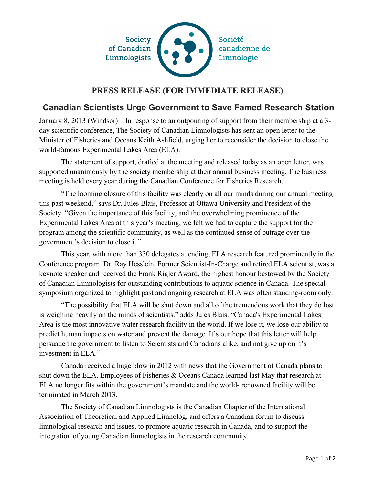

## **PRESS RELEASE (FOR IMMEDIATE RELEASE)**

## **Canadian Scientists Urge Government to Save Famed Research Station**

January 8, 2013 (Windsor) – In response to an outpouring of support from their membership at a 3 day scientific conference, The Society of Canadian Limnologists has sent an open letter to the Minister of Fisheries and Oceans Keith Ashfield, urging her to reconsider the decision to close the world-famous Experimental Lakes Area (ELA).

The statement of support, drafted at the meeting and released today as an open letter, was supported unanimously by the society membership at their annual business meeting. The business meeting is held every year during the Canadian Conference for Fisheries Research.

"The looming closure of this facility was clearly on all our minds during our annual meeting this past weekend," says Dr. Jules Blais, Professor at Ottawa University and President of the Society. "Given the importance of this facility, and the overwhelming prominence of the Experimental Lakes Area at this year's meeting, we felt we had to capture the support for the program among the scientific community, as well as the continued sense of outrage over the government's decision to close it."

This year, with more than 330 delegates attending, ELA research featured prominently in the Conference program. Dr. Ray Hesslein, Former Scientist-In-Charge and retired ELA scientist, was a keynote speaker and received the Frank Rigler Award, the highest honour bestowed by the Society of Canadian Limnologists for outstanding contributions to aquatic science in Canada. The special symposium organized to highlight past and ongoing research at ELA was often standing-room only.

"The possibility that ELA will be shut down and all of the tremendous work that they do lost is weighing heavily on the minds of scientists." adds Jules Blais. "Canada's Experimental Lakes Area is the most innovative water research facility in the world. If we lose it, we lose our ability to predict human impacts on water and prevent the damage. It's our hope that this letter will help persuade the government to listen to Scientists and Canadians alike, and not give up on it's investment in ELA."

Canada received a huge blow in 2012 with news that the Government of Canada plans to shut down the ELA. Employees of Fisheries & Oceans Canada learned last May that research at ELA no longer fits within the government's mandate and the world- renowned facility will be terminated in March 2013.

The Society of Canadian Limnologists is the Canadian Chapter of the International Association of Theoretical and Applied Limnolog, and offers a Canadian forum to discuss limnological research and issues, to promote aquatic research in Canada, and to support the integration of young Canadian limnologists in the research community.